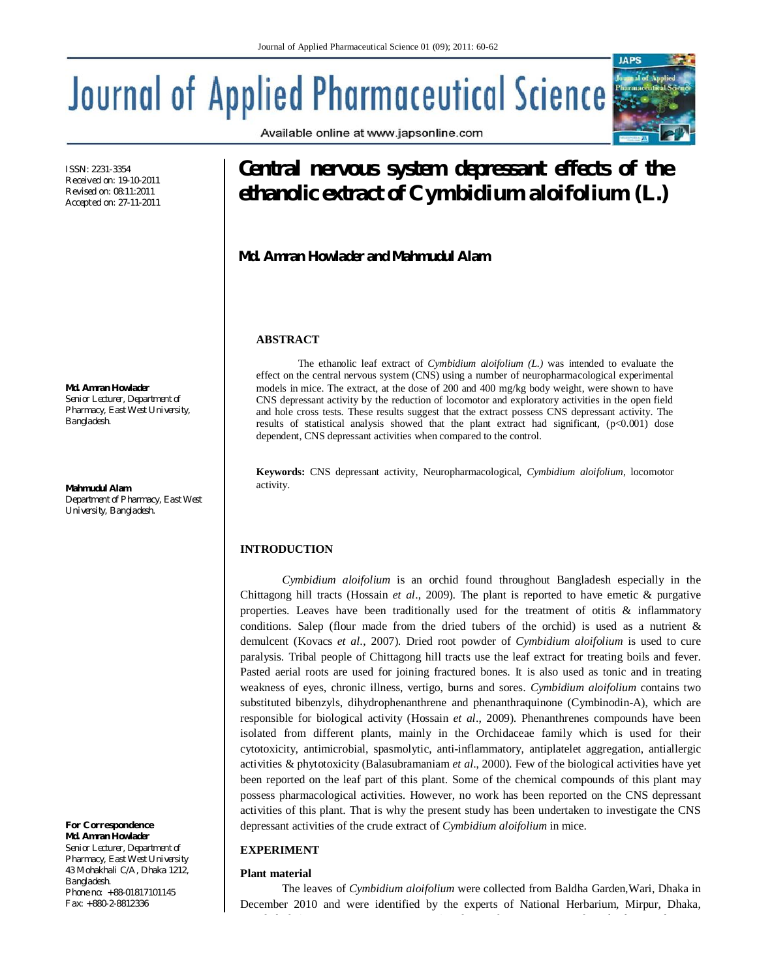Available online at www.japsonline.com

# **Journal of Applied Pharmaceutical Science:**

ISSN: 2231-3354 Received on: 19-10-2011 Revised on: 08:11:2011 Accepted on: 27-11-2011

**Md. Amran Howlader** *Senior Lecturer, Department of Pharmacy, East West University, Bangladesh.*

**Mahmudul Alam** *Department of Pharmacy, East West University, Bangladesh.*

*For Correspondence* **Md. Amran Howlader** *Senior Lecturer, Department of Pharmacy, East West University 43 Mohakhali C/A, Dhaka 1212,* 

*Bangladesh. Phone no: +88-01817101145 Fax: +880-2-8812336*

# **Central nervous system depressant effects of the ethanolic extract of** *Cymbidium aloifolium (L.)*

**Md. Amran Howlader and Mahmudul Alam**

### **ABSTRACT**

The ethanolic leaf extract of *Cymbidium aloifolium (L.)* was intended to evaluate the effect on the central nervous system (CNS) using a number of neuropharmacological experimental models in mice. The extract, at the dose of 200 and 400 mg/kg body weight, were shown to have CNS depressant activity by the reduction of locomotor and exploratory activities in the open field and hole cross tests. These results suggest that the extract possess CNS depressant activity. The results of statistical analysis showed that the plant extract had significant,  $(p<0.001)$  dose dependent, CNS depressant activities when compared to the control.

**Keywords:** CNS depressant activity, Neuropharmacological, *Cymbidium aloifolium*, locomotor activity.

# **INTRODUCTION**

*Cymbidium aloifolium* is an orchid found throughout Bangladesh especially in the Chittagong hill tracts (Hossain *et al*., 2009). The plant is reported to have emetic & purgative properties. Leaves have been traditionally used for the treatment of otitis & inflammatory conditions. Salep (flour made from the dried tubers of the orchid) is used as a nutrient  $\&$ demulcent (Kovacs *et al*., 2007). Dried root powder of *Cymbidium aloifolium* is used to cure paralysis. Tribal people of Chittagong hill tracts use the leaf extract for treating boils and fever. Pasted aerial roots are used for joining fractured bones. It is also used as tonic and in treating weakness of eyes, chronic illness, vertigo, burns and sores. *Cymbidium aloifolium* contains two substituted bibenzyls, dihydrophenanthrene and phenanthraquinone (Cymbinodin-A), which are responsible for biological activity (Hossain *et al*., 2009). Phenanthrenes compounds have been isolated from different plants, mainly in the Orchidaceae family which is used for their cytotoxicity, antimicrobial, spasmolytic, anti-inflammatory, antiplatelet aggregation, antiallergic activities & phytotoxicity (Balasubramaniam *et al*., 2000). Few of the biological activities have yet been reported on the leaf part of this plant. Some of the chemical compounds of this plant may possess pharmacological activities. However, no work has been reported on the CNS depressant activities of this plant. That is why the present study has been undertaken to investigate the CNS depressant activities of the crude extract of *Cymbidium aloifolium* in mice.

## **EXPERIMENT**

#### **Plant material**

The leaves of *Cymbidium aloifolium* were collected from Baldha Garden,Wari, Dhaka in December 2010 and were identified by the experts of National Herbarium, Mirpur, Dhaka,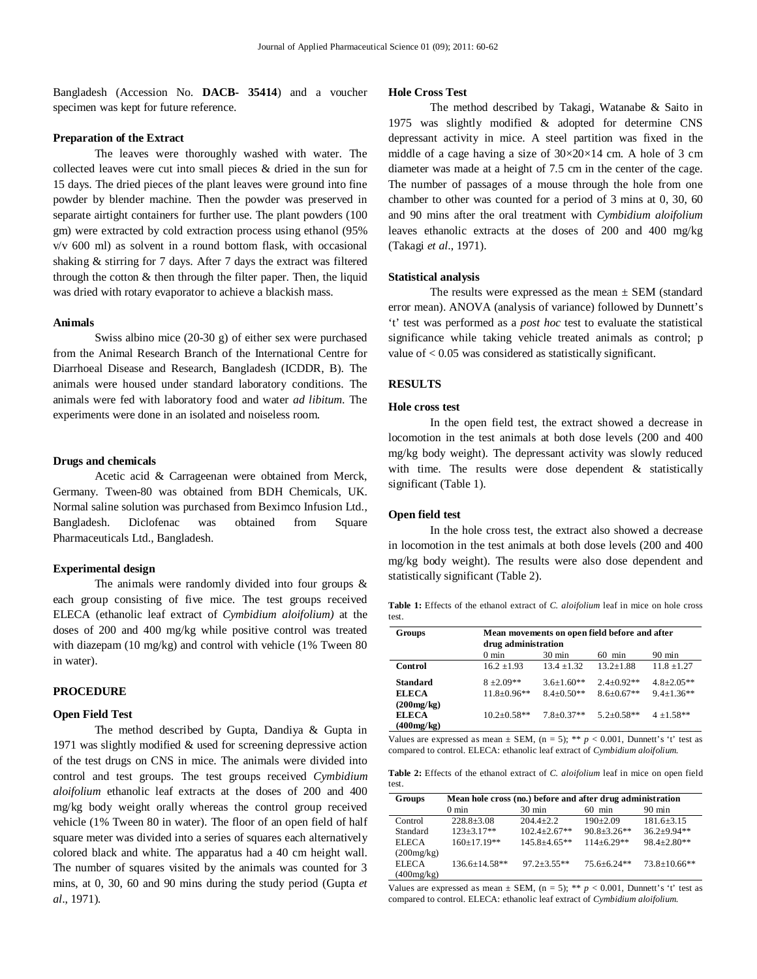Bangladesh (Accession No. **DACB- 35414**) and a voucher specimen was kept for future reference.

#### **Preparation of the Extract**

The leaves were thoroughly washed with water. The collected leaves were cut into small pieces & dried in the sun for 15 days. The dried pieces of the plant leaves were ground into fine powder by blender machine. Then the powder was preserved in separate airtight containers for further use. The plant powders (100 gm) were extracted by cold extraction process using ethanol (95% v/v 600 ml) as solvent in a round bottom flask, with occasional shaking & stirring for 7 days. After 7 days the extract was filtered through the cotton  $&$  then through the filter paper. Then, the liquid was dried with rotary evaporator to achieve a blackish mass.

#### **Animals**

Swiss albino mice (20-30 g) of either sex were purchased from the Animal Research Branch of the International Centre for Diarrhoeal Disease and Research, Bangladesh (ICDDR, B). The animals were housed under standard laboratory conditions. The animals were fed with laboratory food and water *ad libitum*. The experiments were done in an isolated and noiseless room.

#### **Drugs and chemicals**

Acetic acid & Carrageenan were obtained from Merck, Germany. Tween-80 was obtained from BDH Chemicals, UK. Normal saline solution was purchased from Beximco Infusion Ltd., Bangladesh. Diclofenac was obtained from Square Pharmaceuticals Ltd., Bangladesh.

#### **Experimental design**

The animals were randomly divided into four groups & each group consisting of five mice. The test groups received ELECA (ethanolic leaf extract of *Cymbidium aloifolium)* at the doses of 200 and 400 mg/kg while positive control was treated with diazepam (10 mg/kg) and control with vehicle (1% Tween 80 in water).

#### **PROCEDURE**

#### **Open Field Test**

The method described by Gupta, Dandiya & Gupta in 1971 was slightly modified & used for screening depressive action of the test drugs on CNS in mice. The animals were divided into control and test groups. The test groups received *Cymbidium aloifolium* ethanolic leaf extracts at the doses of 200 and 400 mg/kg body weight orally whereas the control group received vehicle (1% Tween 80 in water). The floor of an open field of half square meter was divided into a series of squares each alternatively colored black and white. The apparatus had a 40 cm height wall. The number of squares visited by the animals was counted for 3 mins, at 0, 30, 60 and 90 mins during the study period (Gupta *et al*., 1971).

#### **Hole Cross Test**

The method described by Takagi, Watanabe & Saito in 1975 was slightly modified & adopted for determine CNS depressant activity in mice. A steel partition was fixed in the middle of a cage having a size of  $30 \times 20 \times 14$  cm. A hole of 3 cm diameter was made at a height of 7.5 cm in the center of the cage. The number of passages of a mouse through the hole from one chamber to other was counted for a period of 3 mins at 0, 30, 60 and 90 mins after the oral treatment with *Cymbidium aloifolium* leaves ethanolic extracts at the doses of 200 and 400 mg/kg (Takagi *et al*., 1971).

#### **Statistical analysis**

The results were expressed as the mean  $\pm$  SEM (standard error mean). ANOVA (analysis of variance) followed by Dunnett's 't' test was performed as a *post hoc* test to evaluate the statistical significance while taking vehicle treated animals as control; p value of < 0.05 was considered as statistically significant.

#### **RESULTS**

#### **Hole cross test**

In the open field test, the extract showed a decrease in locomotion in the test animals at both dose levels (200 and 400 mg/kg body weight). The depressant activity was slowly reduced with time. The results were dose dependent & statistically significant (Table 1).

#### **Open field test**

In the hole cross test, the extract also showed a decrease in locomotion in the test animals at both dose levels (200 and 400 mg/kg body weight). The results were also dose dependent and statistically significant (Table 2).

**Table 1:** Effects of the ethanol extract of *C. aloifolium* leaf in mice on hole cross test.

| Groups                     | Mean movements on open field before and after<br>drug administration |                  |                  |                  |  |
|----------------------------|----------------------------------------------------------------------|------------------|------------------|------------------|--|
|                            | $0 \text{ min}$                                                      | $30 \text{ min}$ | $60$ min         | $90 \text{ min}$ |  |
| Control                    | $16.2 + 1.93$                                                        | $13.4 + 1.32$    | $13.2 + 1.88$    | $11.8 \pm 1.27$  |  |
| <b>Standard</b>            | $8 + 2.09**$                                                         | $3.6+1.60**$     | $2.4 \pm 0.92**$ | $4.8 \pm 2.05**$ |  |
| <b>ELECA</b>               | $11.8 \pm 0.96**$                                                    | $8.4 + 0.50**$   | $8.6 + 0.67**$   | $9.4 + 1.36**$   |  |
| (200mg/kg)<br><b>ELECA</b> | $10.2 + 0.58**$                                                      | $7.8 + 0.37**$   | $5.2 \pm 0.58**$ | $4 \pm 1.58**$   |  |
| (400mg/kg)                 |                                                                      |                  |                  |                  |  |

Values are expressed as mean  $\pm$  SEM, (n = 5); \*\*  $p < 0.001$ , Dunnett's 't' test as compared to control. ELECA: ethanolic leaf extract of *Cymbidium aloifolium*.

**Table 2:** Effects of the ethanol extract of *C. aloifolium* leaf in mice on open field test.

| Groups     | Mean hole cross (no.) before and after drug administration |                  |                   |                     |  |  |
|------------|------------------------------------------------------------|------------------|-------------------|---------------------|--|--|
|            | $0 \text{ min}$                                            | $30 \text{ min}$ | $60$ min          | $90 \text{ min}$    |  |  |
| Control    | $228.8+3.08$                                               | $204.4+2.2$      | $190+2.09$        | $181.6 + 3.15$      |  |  |
| Standard   | $123 + 3.17**$                                             | $102.4 + 2.67**$ | $90.8 + 3.26**$   | $36.2 + 9.94**$     |  |  |
| ELECA      | $160+17.19**$                                              | $145.8 + 4.65**$ | $114 + 6.29**$    | $98.4 + 2.80**$     |  |  |
| (200mg/kg) |                                                            |                  |                   |                     |  |  |
| ELECA      | $136.6 + 14.58**$                                          | $97.2 + 3.55$ ** | $75.6 \pm 6.24**$ | $73.8 \pm 10.66$ ** |  |  |
| (400mg/kg) |                                                            |                  |                   |                     |  |  |

Values are expressed as mean  $\pm$  SEM, (n = 5); \*\*  $p < 0.001$ , Dunnett's 't' test as compared to control. ELECA: ethanolic leaf extract of *Cymbidium aloifolium*.